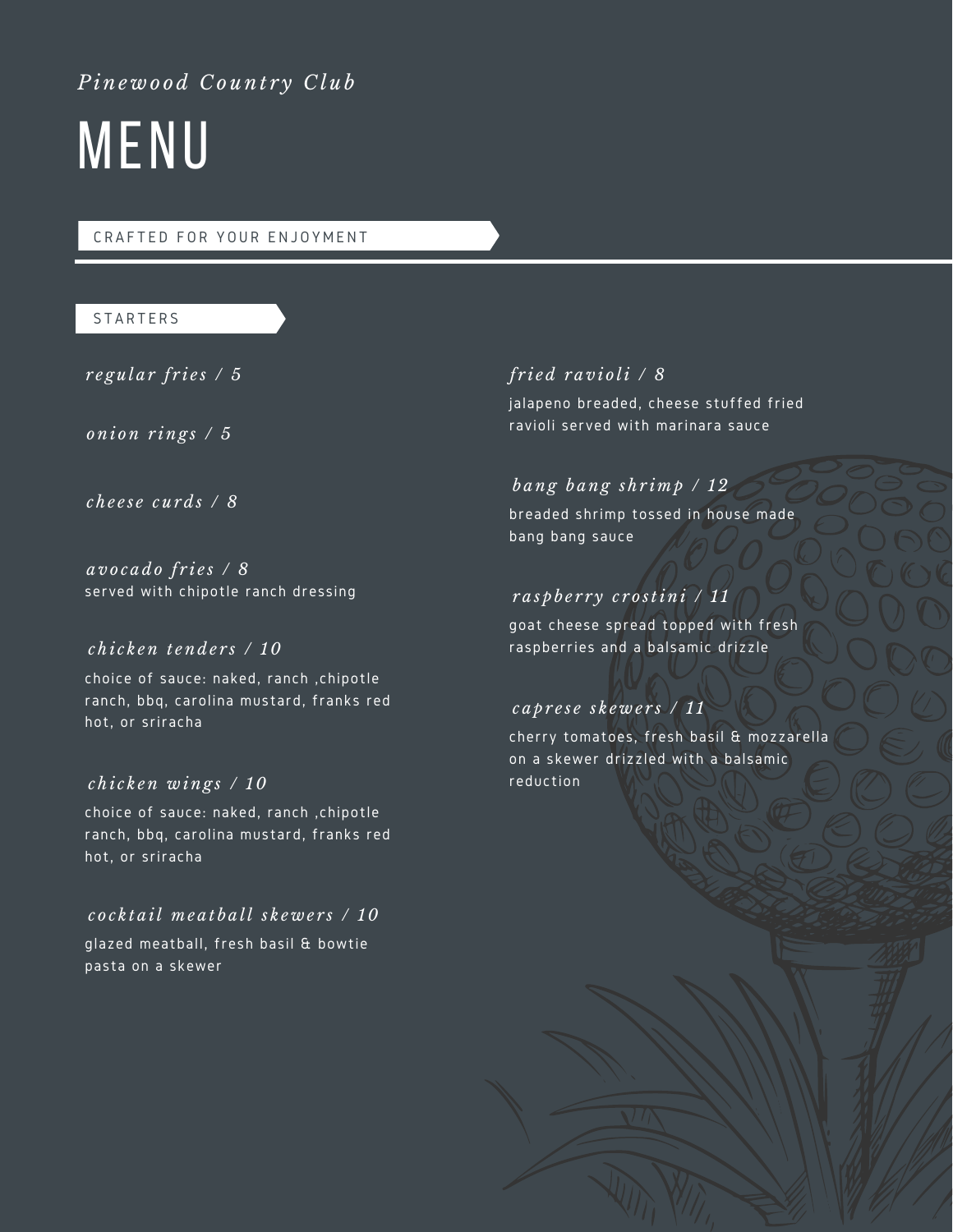# *Pine w o o d C o unt r y C l u b*

# MENU

#### CRAFTED FOR YOUR ENJOYMENT

## **STARTERS**

 $r$  *egular*  $f$ *ries*  $/5$ 

*oni on r ing s / 5*

*c h e e s e c u r d s / 8*

served with chipotle ranch dressing *a v o c a d o f r i e s / 8*

# *c h i c k en t end e r s / 10*

choice of sauce: naked, ranch ,chipotle ranch, bbq, carolina mustard, franks red hot, or sriracha

# *c h i c k en w ing s / 10*

choice of sauce: naked, ranch ,chipotle ranch, bbq, carolina mustard, franks red hot, or sriracha

# *c o c k t a il m e a t b a ll s k e w e r s / 10*

glazed meatball, fresh basil & bowtie pasta on a skewer

# *f r i e d r a v i o li / 8*

jalapeno breaded, cheese stuffed fried ravioli served with marinara sauce

# *b ang b ang s h r i m p / 12*

breaded shrimp tossed in house made bang bang sauce

# *r a s p b e r r y c r o stini / 1 1*

goat cheese spread topped with fresh raspberries and a balsamic drizzle

#### *c a p r e s e s k e w e r s / 1 1*

cherry tomatoes, fresh basil & mozzarella on a skewer drizzled with a balsamic reduction